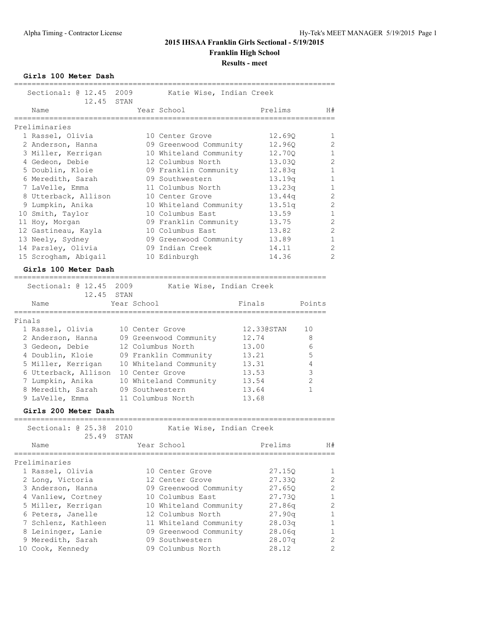**Girls 100 Meter Dash**

| ________________________________<br>Sectional: @ 12.45<br>12.45 | 2009<br>STAN                  |                 | Katie Wise, Indian Creek |            |                |                |
|-----------------------------------------------------------------|-------------------------------|-----------------|--------------------------|------------|----------------|----------------|
| Name                                                            |                               | Year School     |                          | Prelims    |                | H#             |
| :===========<br>Preliminaries                                   |                               |                 |                          |            |                |                |
| 1 Rassel, Olivia                                                |                               |                 | 10 Center Grove          | 12.69Q     |                | $\mathbf 1$    |
| 2 Anderson, Hanna                                               |                               |                 | 09 Greenwood Community   | 12.960     |                | $\overline{2}$ |
| 3 Miller, Kerrigan                                              |                               |                 | 10 Whiteland Community   | 12.70Q     |                | 1              |
| 4 Gedeon, Debie                                                 |                               |                 | 12 Columbus North        | 13.030     |                | $\overline{c}$ |
| 5 Doublin, Kloie                                                |                               |                 | 09 Franklin Community    | 12.83q     |                | 1              |
| 6 Meredith, Sarah                                               |                               |                 | 09 Southwestern          | 13.19q     |                | 1              |
| 7 LaVelle, Emma                                                 |                               |                 | 11 Columbus North        | 13.23q     |                | 1              |
| 8 Utterback, Allison                                            |                               |                 | 10 Center Grove          | 13.44q     |                | $\overline{c}$ |
| 9 Lumpkin, Anika                                                |                               |                 | 10 Whiteland Community   | 13.51q     |                | $\overline{2}$ |
| 10 Smith, Taylor                                                |                               |                 | 10 Columbus East         | 13.59      |                | $\mathbf 1$    |
| 11 Hoy, Morgan                                                  |                               |                 | 09 Franklin Community    | 13.75      |                | $\overline{c}$ |
| 12 Gastineau, Kayla                                             |                               |                 | 10 Columbus East         | 13.82      |                | $\overline{c}$ |
| 13 Neely, Sydney                                                |                               |                 | 09 Greenwood Community   | 13.89      |                | $\mathbf 1$    |
| 14 Parsley, Olivia                                              |                               |                 | 09 Indian Creek          | 14.11      |                | $\overline{2}$ |
| 15 Scrogham, Abigail                                            |                               |                 | 10 Edinburgh             | 14.36      |                | $\overline{2}$ |
| Girls 100 Meter Dash<br>===========================             |                               |                 |                          |            |                |                |
| Sectional: @ 12.45                                              | 2009                          |                 | Katie Wise, Indian Creek |            |                |                |
| 12.45 STAN                                                      |                               |                 |                          |            |                |                |
| Name<br>==========                                              | Year School<br>============== |                 |                          | Finals     | Points         |                |
| Finals                                                          |                               |                 |                          |            |                |                |
| 1 Rassel, Olivia                                                |                               | 10 Center Grove |                          | 12.330STAN | 10             |                |
| 2 Anderson, Hanna                                               |                               |                 | 09 Greenwood Community   | 12.74      | 8              |                |
| 3 Gedeon, Debie                                                 |                               |                 | 12 Columbus North        | 13.00      | 6              |                |
| 4 Doublin, Kloie                                                |                               |                 | 09 Franklin Community    | 13.21      | 5              |                |
| 5 Miller, Kerrigan                                              |                               |                 | 10 Whiteland Community   | 13.31      | 4              |                |
| 6 Utterback, Allison                                            |                               | 10 Center Grove |                          | 13.53      | 3              |                |
| 7 Lumpkin, Anika                                                |                               |                 | 10 Whiteland Community   | 13.54      | $\mathfrak{D}$ |                |
| 8 Meredith, Sarah                                               |                               | 09 Southwestern |                          | 13.64      | $\mathbf{1}$   |                |
| 9 LaVelle, Emma                                                 |                               |                 | 11 Columbus North        | 13.68      |                |                |
| Girls 200 Meter Dash<br>-------------------------------         |                               |                 |                          |            |                |                |
| Sectional: @ 25.38<br>25.49                                     | 2010<br>STAN                  |                 | Katie Wise, Indian Creek |            |                |                |
| Name                                                            |                               | Year School     |                          | Prelims    |                | H#             |

========================================================================= Preliminaries

| Preliminaries       |                        |        |               |
|---------------------|------------------------|--------|---------------|
| 1 Rassel, Olivia    | 10 Center Grove        | 27.150 | $\mathbf{1}$  |
| 2 Long, Victoria    | 12 Center Grove        | 27.330 | $\mathcal{L}$ |
| 3 Anderson, Hanna   | 09 Greenwood Community | 27.650 | 2             |
| 4 Vanliew, Cortney  | 10 Columbus East       | 27.730 | $\mathbf{1}$  |
| 5 Miller, Kerrigan  | 10 Whiteland Community | 27.86q | 2             |
| 6 Peters, Janelle   | 12 Columbus North      | 27.90q | $\mathbf{1}$  |
| 7 Schlenz, Kathleen | 11 Whiteland Community | 28.03q | $\mathbf{1}$  |
| 8 Leininger, Lanie  | 09 Greenwood Community | 28.06q | $\mathbf{1}$  |
| 9 Meredith, Sarah   | 09 Southwestern        | 28.07q | 2             |
| 10 Cook, Kennedy    | 09 Columbus North      | 28.12  | 2             |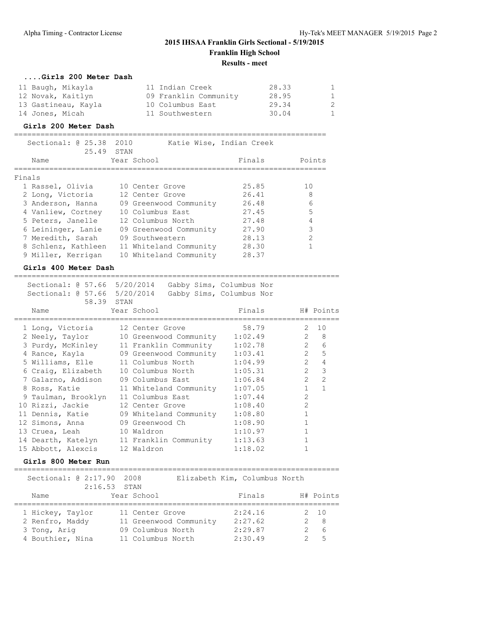| Girls 200 Meter Dash |                       |       |                |
|----------------------|-----------------------|-------|----------------|
| 11 Baugh, Mikayla    | 11 Indian Creek       | 28.33 | $\overline{1}$ |
| 12 Novak, Kaitlyn    | 09 Franklin Community | 28.95 | $\overline{1}$ |
| 13 Gastineau, Kayla  | 10 Columbus East      | 29.34 | 2              |
| 14 Jones, Micah      | 11 Southwestern       | 30.04 | -1             |

#### **Girls 200 Meter Dash**

| Sectional: $@25.38$<br>25,49 STAN | 2010<br>Katie Wise, Indian Creek |        |        |
|-----------------------------------|----------------------------------|--------|--------|
| Name                              | Year School                      | Finals | Points |
| Finals                            |                                  |        |        |
| 1 Rassel, Olivia                  | 10 Center Grove                  | 25.85  | 10     |
| 2 Long, Victoria                  | 12 Center Grove                  | 26.41  | 8      |
| 3 Anderson, Hanna                 | 09 Greenwood Community           | 26.48  | 6      |
| 4 Vanliew, Cortney                | 10 Columbus East                 | 27.45  | 5      |
| 5 Peters, Janelle                 | 12 Columbus North                | 27.48  | 4      |
| 6 Leininger, Lanie                | 09 Greenwood Community           | 27.90  | 3      |
| 7 Meredith, Sarah                 | 09 Southwestern                  | 28.13  | 2      |
| 8 Schlenz, Kathleen               | 11 Whiteland Community           | 28.30  |        |
| 9 Miller, Kerrigan                | 10 Whiteland Community           | 28.37  |        |

#### **Girls 400 Meter Dash**

 Sectional: @ 57.66 5/20/2014 Gabby Sims, Columbus Nor Sectional: @ 57.66 5/20/2014 Gabby Sims, Columbus Nor 58.39 STAN Name Year School Finals H# Points ========================================================================== 1 Long, Victoria 12 Center Grove 58.79 2 10 2 Neely, Taylor 10 Greenwood Community 1:02.49 2 8 3 Purdy, McKinley 11 Franklin Community 1:02.78 2 6 4 Rance, Kayla 09 Greenwood Community 1:03.41 2 5 5 Williams, Elle 11 Columbus North 1:04.99 2 4 6 Craig, Elizabeth 10 Columbus North 1:05.31 2 3 7 Galarno, Addison 09 Columbus East 1:06.84 2 2 8 Ross, Katie 11 Whiteland Community 1:07.05 1 1 9 Taulman, Brooklyn 11 Columbus East 1:07.44 2 10 Rizzi, Jackie 12 Center Grove 1:08.40 2 11 Dennis, Katie 09 Whiteland Community 1:08.80 1 12 Simons, Anna 09 Greenwood Ch 1:08.90 1 13 Cruea, Leah 10 Waldron 1:10.97 1 14 Dearth, Katelyn 11 Franklin Community 1:13.63 1 15 Abbott, Alexcis 12 Waldron 1:18.02 1

==========================================================================

### **Girls 800 Meter Run**

| Sectional: 0 2:17.90 2008 |  | Elizabeth Kim, Columbus North |  |  |
|---------------------------|--|-------------------------------|--|--|

|                  | $2:16.53$ STAN         |         |              |
|------------------|------------------------|---------|--------------|
| Name             | Year School            | Finals  | H# Points    |
| 1 Hickey, Taylor | 11 Center Grove        | 2:24.16 | $2 \quad 10$ |
| 2 Renfro, Maddy  | 11 Greenwood Community | 2:27.62 | $2^8$        |
| 3 Tong, Arig     | 09 Columbus North      | 2:29.87 | - 6          |
| 4 Bouthier, Nina | 11 Columbus North      | 2:30.49 | $5^{\circ}$  |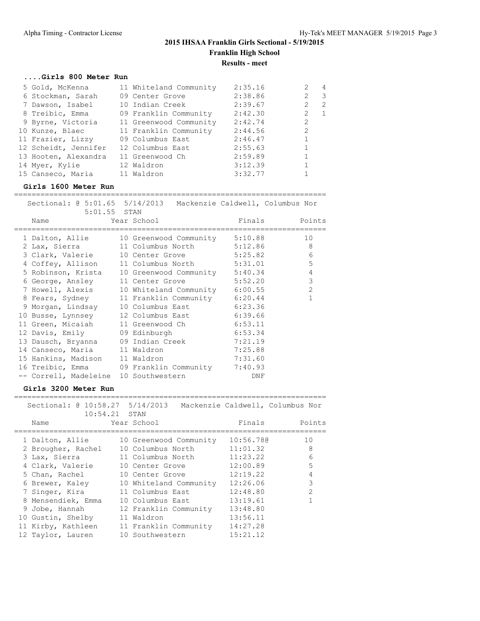### **....Girls 800 Meter Run**

| 5 Gold, McKenna      | 11 Whiteland Community | 2:35.16 | $\sim$ 4                      |
|----------------------|------------------------|---------|-------------------------------|
| 6 Stockman, Sarah    | 09 Center Grove        | 2:38.86 | 2<br>$\overline{\phantom{a}}$ |
| 7 Dawson, Isabel     | 10 Indian Creek        | 2:39.67 | $\mathcal{L}$<br>-2           |
| 8 Treibic, Emma      | 09 Franklin Community  | 2:42.30 | 2<br>$\overline{1}$           |
| 9 Byrne, Victoria    | 11 Greenwood Community | 2:42.74 | 2                             |
| 10 Kunze, Blaec      | 11 Franklin Community  | 2:44.56 | $\overline{2}$                |
| 11 Frazier, Lizzy    | 09 Columbus East       | 2:46.47 |                               |
| 12 Scheidt, Jennifer | 12 Columbus East       | 2:55.63 |                               |
| 13 Hooten, Alexandra | 11 Greenwood Ch        | 2:59.89 |                               |
| 14 Myer, Kylie       | 12 Waldron             | 3:12.39 |                               |
| 15 Canseco, Maria    | 11 Waldron             | 3:32.77 |                               |

### **Girls 1600 Meter Run**

=======================================================================

| Sectional: @ 5:01.65 5/14/2013 Mackenzie Caldwell, Columbus Nor        |  |            |                                             |
|------------------------------------------------------------------------|--|------------|---------------------------------------------|
| 5:01.55 STAN                                                           |  |            |                                             |
| Name Year School                                                       |  |            | Finals Points                               |
| ====================<br>1 Dalton, Allie 10 Greenwood Community 5:10.88 |  |            | =====================================<br>10 |
| 2 Lax, Sierra 11 Columbus North 5:12.86 8                              |  |            |                                             |
| 3 Clark, Valerie 10 Center Grove 5:25.82 6                             |  |            |                                             |
|                                                                        |  |            | 5                                           |
| 4 Coffey, Allison 11 Columbus North 5:31.01                            |  |            |                                             |
| 5 Robinson, Krista 10 Greenwood Community 5:40.34                      |  |            | $\overline{4}$                              |
| 6 George, Ansley 11 Center Grove 5:52.20                               |  |            | 3                                           |
| 7 Howell, Alexis 10 Whiteland Community 6:00.55                        |  |            | 2                                           |
| 8 Fears, Sydney 11 Franklin Community 6:20.44                          |  |            | $\mathbf{1}$                                |
| 9 Morgan, Lindsay 10 Columbus East 6:23.36                             |  |            |                                             |
| 10 Busse, Lynnsey 12 Columbus East 6:39.66                             |  |            |                                             |
| 11 Green, Micaiah 11 Greenwood Ch 6:53.11                              |  |            |                                             |
| 12 Davis, Emily 09 Edinburgh 6:53.34                                   |  |            |                                             |
| 13 Dausch, Bryanna 09 Indian Creek 7:21.19                             |  |            |                                             |
| 14 Canseco, Maria 11 Waldron 7:25.88                                   |  |            |                                             |
| 15 Hankins, Madison 11 Waldron 7:31.60                                 |  |            |                                             |
| 16 Treibic, Emma 09 Franklin Community 7:40.93                         |  |            |                                             |
| -- Correll, Madeleine 10 Southwestern                                  |  | <b>DNF</b> |                                             |

#### **Girls 3200 Meter Run**

### ======================================================================= Sectional: @ 10:58.27 5/14/2013 Mackenzie Caldwell, Columbus Nor  $10:54.21$  STAN Name Year School Finals Points ======================================================================= 1 Dalton, Allie 10 Greenwood Community 10:56.78@ 10 2 Brougher, Rachel 10 Columbus North 11:01.32 8 3 Lax, Sierra 11 Columbus North 11:23.22 6 4 Clark, Valerie 10 Center Grove 12:00.89 5 5 Chan, Rachel 10 Center Grove 12:19.22 4 6 Brewer, Kaley 10 Whiteland Community 12:26.06 3 7 Singer, Kira 11 Columbus East 12:48.80 2 8 Mensendiek, Emma 10 Columbus East 13:19.61 1 9 Jobe, Hannah 12 Franklin Community 13:48.80 10 Gustin, Shelby 11 Waldron 13:56.11 11 Kirby, Kathleen 11 Franklin Community 14:27.28 12 Taylor, Lauren 10 Southwestern 15:21.12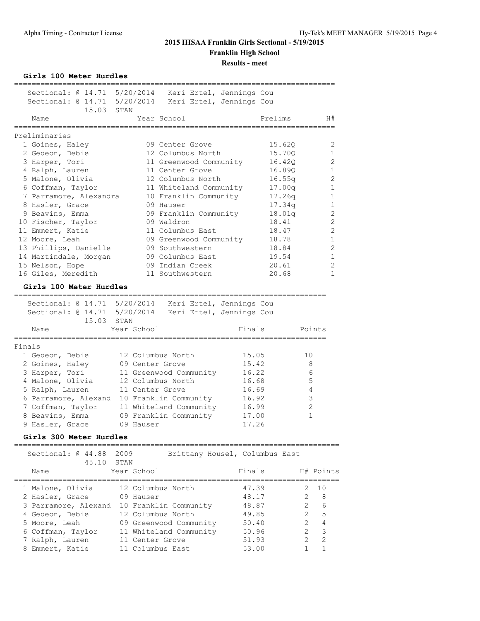**Girls 100 Meter Hurdles**

| Sectional: 0 14.71 5/20/2014                          |                  | Keri Ertel, Jennings Cou       |        |             |                |                |
|-------------------------------------------------------|------------------|--------------------------------|--------|-------------|----------------|----------------|
| Sectional: 0 14.71 5/20/2014                          |                  | Keri Ertel, Jennings Cou       |        |             |                |                |
| 15.03 STAN                                            |                  |                                |        |             |                |                |
| Name                                                  |                  | Year School                    |        | Prelims     |                | H#             |
| ================                                      |                  | ===============                |        | ----------- |                |                |
| Preliminaries                                         |                  |                                |        |             |                |                |
| 1 Goines, Haley                                       |                  | 09 Center Grove                |        | 15.62Q      |                | 2              |
| 2 Gedeon, Debie                                       |                  | 12 Columbus North              |        | 15.70Q      |                | $\mathbf{1}$   |
| 3 Harper, Tori                                        |                  | 11 Greenwood Community         |        | 16.420      |                | $\mathfrak{D}$ |
| 4 Ralph, Lauren                                       |                  | 11 Center Grove                |        | 16.89Q      |                | $\mathbf{1}$   |
| 5 Malone, Olivia                                      |                  | 12 Columbus North              |        | 16.55q      |                | $\overline{2}$ |
| 6 Coffman, Taylor                                     |                  | 11 Whiteland Community         |        | 17.00q      |                | $\mathbf{1}$   |
| 7 Parramore, Alexandra                                |                  | 10 Franklin Community          |        | 17.26q      |                | $\mathbf{1}$   |
| 8 Hasler, Grace                                       |                  | 09 Hauser                      |        | 17.34q      |                | 1              |
| 9 Beavins, Emma                                       |                  | 09 Franklin Community          |        | 18.01q      |                | 2              |
| 10 Fischer, Taylor                                    |                  | 09 Waldron                     |        | 18.41       |                | 2              |
| 11 Emmert, Katie                                      |                  | 11 Columbus East               |        | 18.47       |                | $\overline{2}$ |
|                                                       |                  |                                |        | 18.78       |                |                |
| 12 Moore, Leah                                        |                  | 09 Greenwood Community         |        |             |                | $\mathbf{1}$   |
| 13 Phillips, Danielle                                 |                  | 09 Southwestern                |        | 18.84       |                | 2              |
| 14 Martindale, Morgan                                 |                  | 09 Columbus East               |        | 19.54       |                | $\mathbf{1}$   |
| 15 Nelson, Hope                                       |                  | 09 Indian Creek                |        | 20.61       |                | $\mathfrak{D}$ |
| 16 Giles, Meredith                                    |                  | 11 Southwestern                |        | 20.68       |                | 1              |
| Girls 100 Meter Hurdles                               |                  |                                |        |             |                |                |
| ===================                                   |                  |                                |        |             |                |                |
| Sectional: @ 14.71 5/20/2014 Keri Ertel, Jennings Cou |                  |                                |        |             |                |                |
| Sectional: @ 14.71 5/20/2014 Keri Ertel, Jennings Cou |                  |                                |        |             |                |                |
| 15.03                                                 | STAN             |                                |        |             |                |                |
| Name                                                  | Year School      |                                | Finals |             |                | Points         |
| Finals                                                |                  |                                |        |             |                |                |
|                                                       |                  |                                |        |             |                |                |
| 1 Gedeon, Debie                                       |                  | 12 Columbus North              | 15.05  |             | 10             |                |
| 2 Goines, Haley                                       | 09 Center Grove  |                                | 15.42  |             | 8              |                |
| 3 Harper, Tori                                        |                  | 11 Greenwood Community         | 16.22  |             | 6              |                |
| 4 Malone, Olivia                                      |                  | 12 Columbus North              | 16.68  |             | 5              |                |
| 5 Ralph, Lauren                                       | 11 Center Grove  |                                | 16.69  |             | 4              |                |
| 6 Parramore, Alexand                                  |                  | 10 Franklin Community          | 16.92  |             | 3              |                |
| 7 Coffman, Taylor                                     |                  | 11 Whiteland Community         | 16.99  |             | 2              |                |
| 8 Beavins, Emma                                       |                  | 09 Franklin Community          | 17.00  |             | 1              |                |
| 9 Hasler, Grace                                       | 09 Hauser        |                                | 17.26  |             |                |                |
| Girls 300 Meter Hurdles                               |                  |                                |        |             |                |                |
|                                                       |                  |                                |        |             |                |                |
| Sectional: @ 44.88<br>45.10                           | 2009<br>STAN     | Brittany Housel, Columbus East |        |             |                |                |
| Name                                                  | Year School      |                                | Finals |             |                | H# Points      |
|                                                       |                  |                                |        |             |                |                |
| 1 Malone, Olivia                                      |                  | 12 Columbus North              | 47.39  |             | 2              | 10             |
| 2 Hasler, Grace                                       | 09 Hauser        |                                | 48.17  |             | 2              | 8              |
| 3 Parramore, Alexand                                  |                  | 10 Franklin Community          | 48.87  |             | 2              | 6              |
| 4 Gedeon, Debie                                       |                  | 12 Columbus North              | 49.85  |             | $\overline{2}$ | 5              |
| 5 Moore, Leah                                         |                  | 09 Greenwood Community         | 50.40  |             | $\overline{2}$ | $\overline{4}$ |
| 6 Coffman, Taylor                                     |                  | 11 Whiteland Community         | 50.96  |             | $\overline{2}$ | 3              |
| 7 Ralph, Lauren                                       | 11 Center Grove  |                                | 51.93  |             | 2              | 2              |
| 8 Emmert, Katie                                       | 11 Columbus East |                                | 53.00  |             | 1              | 1              |
|                                                       |                  |                                |        |             |                |                |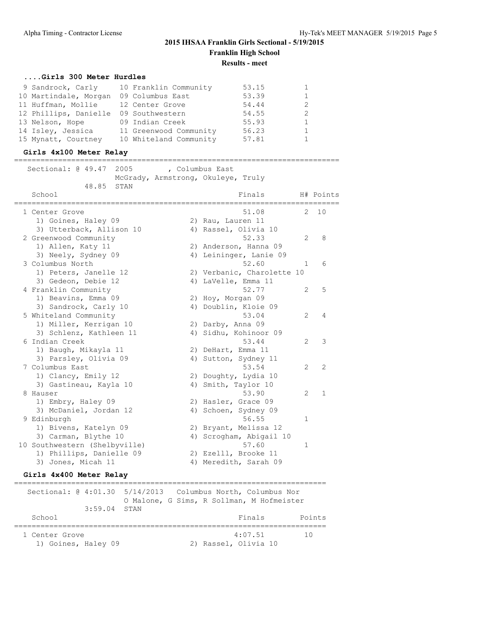### **....Girls 300 Meter Hurdles**

| 9 Sandrock, Carly     | 10 Franklin Community  | 53.15 |   |
|-----------------------|------------------------|-------|---|
| 10 Martindale, Morgan | 09 Columbus East       | 53.39 |   |
| 11 Huffman, Mollie    | 12 Center Grove        | 54.44 | 2 |
| 12 Phillips, Danielle | 09 Southwestern        | 54.55 | 2 |
| 13 Nelson, Hope       | 09 Indian Creek        | 55.93 |   |
| 14 Isley, Jessica     | 11 Greenwood Community | 56.23 |   |
| 15 Mynatt, Courtney   | 10 Whiteland Community | 57.81 |   |

#### **Girls 4x100 Meter Relay**

==========================================================================

| Sectional: @ 49.47             |                          | 2005 |                                    | , Columbus East      |                            |                       |              |
|--------------------------------|--------------------------|------|------------------------------------|----------------------|----------------------------|-----------------------|--------------|
|                                | 48.85                    | STAN | McGrady, Armstrong, Okuleye, Truly |                      |                            |                       |              |
| School<br>==================== |                          |      |                                    |                      | Finals                     |                       | H# Points    |
| 1 Center Grove                 |                          |      |                                    |                      | 51.08                      | 2                     | 10           |
|                                | 1) Goines, Haley 09      |      |                                    | 2) Rau, Lauren 11    |                            |                       |              |
|                                | 3) Utterback, Allison 10 |      |                                    | 4) Rassel, Olivia 10 |                            |                       |              |
| 2 Greenwood Community          |                          |      |                                    |                      | 52.33                      | $\mathfrak{L}$        | 8            |
|                                | 1) Allen, Katy 11        |      |                                    |                      | 2) Anderson, Hanna 09      |                       |              |
|                                | 3) Neely, Sydney 09      |      |                                    |                      | 4) Leininger, Lanie 09     |                       |              |
| 3 Columbus North               |                          |      |                                    |                      | 52.60                      | $\mathbf{1}$          | 6            |
|                                | 1) Peters, Janelle 12    |      |                                    |                      | 2) Verbanic, Charolette 10 |                       |              |
|                                | 3) Gedeon, Debie 12      |      |                                    | 4) LaVelle, Emma 11  |                            |                       |              |
| 4 Franklin Community           |                          |      |                                    |                      | 52.77                      | $\mathfrak{L}$        | 5            |
|                                | 1) Beavins, Emma 09      |      |                                    | 2) Hoy, Morgan 09    |                            |                       |              |
|                                | 3) Sandrock, Carly 10    |      |                                    |                      | 4) Doublin, Kloie 09       |                       |              |
| 5 Whiteland Community          |                          |      |                                    |                      | 53.04                      | 2                     | 4            |
|                                | 1) Miller, Kerrigan 10   |      |                                    | 2) Darby, Anna 09    |                            |                       |              |
|                                | 3) Schlenz, Kathleen 11  |      |                                    |                      | 4) Sidhu, Kohinoor 09      |                       |              |
| 6 Indian Creek                 |                          |      |                                    |                      | 53.44                      | $\mathfrak{D}$        | 3            |
|                                | 1) Baugh, Mikayla 11     |      |                                    | 2) DeHart, Emma 11   |                            |                       |              |
|                                | 3) Parsley, Olivia 09    |      |                                    |                      | 4) Sutton, Sydney 11       |                       |              |
| 7 Columbus East                |                          |      |                                    |                      | 53.54                      | $\mathbf{2}^{\prime}$ | 2            |
|                                | 1) Clancy, Emily 12      |      |                                    |                      | 2) Doughty, Lydia 10       |                       |              |
|                                | 3) Gastineau, Kayla 10   |      |                                    | 4) Smith, Taylor 10  |                            |                       |              |
| 8 Hauser                       |                          |      |                                    |                      | 53.90                      | $\mathfrak{D}$        | $\mathbf{1}$ |
|                                | 1) Embry, Haley 09       |      |                                    | 2) Hasler, Grace 09  |                            |                       |              |
|                                | 3) McDaniel, Jordan 12   |      |                                    |                      | 4) Schoen, Sydney 09       |                       |              |
| 9 Edinburgh                    |                          |      |                                    |                      | 56.55                      | 1                     |              |
|                                | 1) Bivens, Katelyn 09    |      |                                    |                      | 2) Bryant, Melissa 12      |                       |              |
|                                | 3) Carman, Blythe 10     |      |                                    |                      | 4) Scrogham, Abigail 10    |                       |              |
| 10 Southwestern (Shelbyville)  |                          |      |                                    |                      | 57.60                      | 1                     |              |
|                                | 1) Phillips, Danielle 09 |      |                                    |                      | 2) Ezelll, Brooke 11       |                       |              |
|                                | 3) Jones, Micah 11       |      |                                    |                      | 4) Meredith, Sarah 09      |                       |              |

### **Girls 4x400 Meter Relay**

======================================================================= Sectional: @ 4:01.30 5/14/2013 Columbus North, Columbus Nor O Malone, G Sims, R Sollman, M Hofmeister 3:59.04 STAN School **Finals** Points ======================================================================= 4:07.51 10 1) Goines, Haley 09 2) Rassel, Olivia 10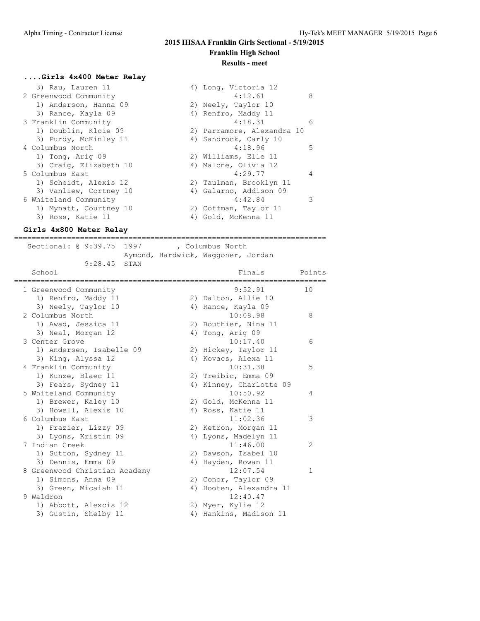#### **....Girls 4x400 Meter Relay**

| 3) Rau, Lauren 11      | 4) Long, Victoria 12       |   |
|------------------------|----------------------------|---|
| 2 Greenwood Community  | 4:12.61                    | 8 |
| 1) Anderson, Hanna 09  | 2) Neely, Taylor 10        |   |
| 3) Rance, Kayla 09     | 4) Renfro, Maddy 11        |   |
| 3 Franklin Community   | 4:18.31                    | 6 |
| 1) Doublin, Kloie 09   | 2) Parramore, Alexandra 10 |   |
| 3) Purdy, McKinley 11  | 4) Sandrock, Carly 10      |   |
| 4 Columbus North       | 4:18.96                    | 5 |
| 1) Tong, Arig 09       | 2) Williams, Elle 11       |   |
| 3) Craig, Elizabeth 10 | 4) Malone, Olivia 12       |   |
| 5 Columbus East        | 4:29.77                    | 4 |
| 1) Scheidt, Alexis 12  | 2) Taulman, Brooklyn 11    |   |
| 3) Vanliew, Cortney 10 | 4) Galarno, Addison 09     |   |
| 6 Whiteland Community  | 4:42.84                    |   |
| 1) Mynatt, Courtney 10 | 2) Coffman, Taylor 11      |   |
| 3) Ross, Katie 11      | 4) Gold, McKenna 11        |   |

#### **Girls 4x800 Meter Relay**

======================================================================= Sectional: @ 9:39.75 1997 , Columbus North Aymond, Hardwick, Waggoner, Jordan 9:28.45 STAN School **Finals** Points ======================================================================= 1 Greenwood Community 9:52.91 10 1) Renfro, Maddy 11 2) Dalton, Allie 10 3) Neely, Taylor 10 4) Rance, Kayla 09 2 Columbus North 10:08.98 8 1) Awad, Jessica 11 2) Bouthier, Nina 11 3) Neal, Morgan 12 4) Tong, Arig 09 3 Center Grove 10:17.40 6 1) Andersen, Isabelle 09 2) Hickey, Taylor 11 3) King, Alyssa 12 4) Kovacs, Alexa 11 4 Franklin Community 10:31.38 5 1) Kunze, Blaec 11 2) Treibic, Emma 09 3) Fears, Sydney 11 4) Kinney, Charlotte 09 5 Whiteland Community 10:50.92 4 1) Brewer, Kaley 10 2) Gold, McKenna 11 3) Howell, Alexis 10 4) Ross, Katie 11 6 Columbus East 11:02.36 3 1) Frazier, Lizzy 09  $\hspace{1cm}$  2) Ketron, Morgan 11 3) Lyons, Kristin 09 4) Lyons, Madelyn 11 7 Indian Creek 11:46.00 2 1) Sutton, Sydney 11 2) Dawson, Isabel 10 3) Dennis, Emma 09 4) Hayden, Rowan 11 8 Greenwood Christian Academy 12:07.54 1 1) Simons, Anna 09 2) Conor, Taylor 09 3) Green, Micaiah 11 4) Hooten, Alexandra 11 9 Waldron 2012:40.47 1) Abbott, Alexcis 12 2) Myer, Kylie 12 3) Gustin, Shelby 11 4) Hankins, Madison 11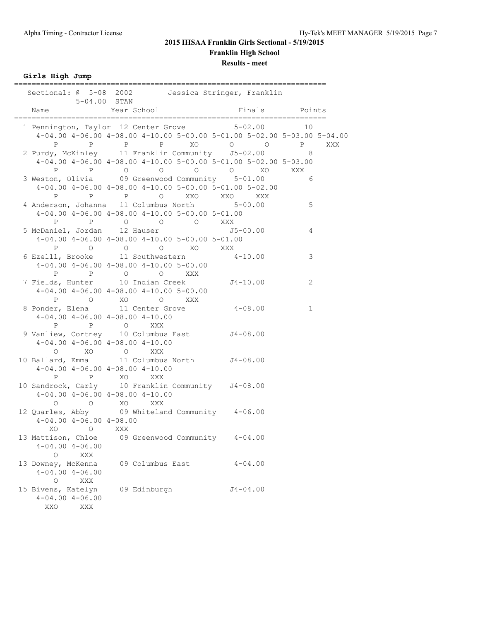# **2015 IHSAA Franklin Girls Sectional - 5/19/2015 Franklin High School**

**Results - meet**

**Girls High Jump**

|                                       | $5 - 04.00$ STAN                                                |                        |                                                                                                                                                            |    |     |
|---------------------------------------|-----------------------------------------------------------------|------------------------|------------------------------------------------------------------------------------------------------------------------------------------------------------|----|-----|
| Name                                  | Year School<br>.=======================                         |                        | Finals Points<br>____________________________                                                                                                              |    |     |
|                                       |                                                                 |                        | 1 Pennington, Taylor 12 Center Grove 5-02.00                                                                                                               | 10 |     |
| P                                     | $P$ $P$                                                         |                        | 4-04.00 4-06.00 4-08.00 4-10.00 5-00.00 5-01.00 5-02.00 5-03.00 5-04.00<br>P XO O O P                                                                      |    | XXX |
|                                       |                                                                 |                        | 2 Purdy, McKinley 11 Franklin Community 55-02.00                                                                                                           | 8  |     |
|                                       |                                                                 |                        | $4-04.00$ $4-06.00$ $4-08.00$ $4-10.00$ $5-00.00$ $5-01.00$ $5-02.00$ $5-03.00$<br>P P O O O O XO XXX<br>3 Weston, Olivia 09 Greenwood Community 5-01.00 6 |    |     |
| P                                     | P P O XXO XXO XXX                                               |                        | 4-04.00 4-06.00 4-08.00 4-10.00 5-00.00 5-01.00 5-02.00                                                                                                    | 6  |     |
|                                       | 4 Anderson, Johanna 11 Columbus North 5-00.00                   |                        |                                                                                                                                                            | 5  |     |
|                                       | $4-04.00$ $4-06.00$ $4-08.00$ $4-10.00$ $5-00.00$ $5-01.00$     |                        |                                                                                                                                                            |    |     |
|                                       | P P O O O XXX                                                   |                        |                                                                                                                                                            |    |     |
|                                       |                                                                 |                        | 5 McDaniel, Jordan 12 Hauser 1987 - 1997 - 1998 15-00.00                                                                                                   |    |     |
|                                       | $4-04.00$ $4-06.00$ $4-08.00$ $4-10.00$ $5-00.00$ $5-01.00$     |                        |                                                                                                                                                            |    |     |
|                                       | P O O O XO XXX<br>6 Ezelll, Brooke 11 Southwestern 4-10.00      |                        |                                                                                                                                                            | 3  |     |
|                                       | $4-04.00$ $4-06.00$ $4-08.00$ $4-10.00$ $5-00.00$               |                        |                                                                                                                                                            |    |     |
|                                       |                                                                 |                        |                                                                                                                                                            |    |     |
|                                       | P P O O XXX<br>7 Fields, Hunter 10 Indian Creek                 |                        | $J4 - 10.00$                                                                                                                                               | 2  |     |
|                                       | $4-04.00$ $4-06.00$ $4-08.00$ $4-10.00$ $5-00.00$               |                        |                                                                                                                                                            |    |     |
|                                       | P O XO O XXX                                                    |                        |                                                                                                                                                            |    |     |
|                                       | 8 Ponder, Elena 11 Center Grove 4-08.00                         |                        |                                                                                                                                                            | 1  |     |
|                                       | $4-04.00$ $4-06.00$ $4-08.00$ $4-10.00$                         |                        |                                                                                                                                                            |    |     |
|                                       | P P O XXX<br>9 Vanliew, Cortney 10 Columbus East 54-08.00       |                        |                                                                                                                                                            |    |     |
|                                       | $4-04.00$ $4-06.00$ $4-08.00$ $4-10.00$                         |                        |                                                                                                                                                            |    |     |
|                                       | O XO O XXX                                                      |                        |                                                                                                                                                            |    |     |
|                                       | 10 Ballard, Emma 11 Columbus North J4-08.00                     |                        |                                                                                                                                                            |    |     |
|                                       | $4-04.00$ $4-06.00$ $4-08.00$ $4-10.00$                         |                        |                                                                                                                                                            |    |     |
|                                       | P P XO XXX<br>10 Sandrock, Carly 10 Franklin Community J4-08.00 |                        |                                                                                                                                                            |    |     |
|                                       | $4-04.00$ $4-06.00$ $4-08.00$ $4-10.00$                         |                        |                                                                                                                                                            |    |     |
| $\circ$                               | O XO XXX                                                        |                        |                                                                                                                                                            |    |     |
|                                       | 12 Quarles, Abby 09 Whiteland Community 4-06.00                 |                        |                                                                                                                                                            |    |     |
| $4-04.00$ $4-06.00$ $4-08.00$         |                                                                 |                        |                                                                                                                                                            |    |     |
| XO O XXX                              |                                                                 |                        |                                                                                                                                                            |    |     |
| 13 Mattison, Chloe                    |                                                                 | 09 Greenwood Community | $4 - 04.00$                                                                                                                                                |    |     |
| $4 - 04.00$ $4 - 06.00$               |                                                                 |                        |                                                                                                                                                            |    |     |
| XXX<br>0                              |                                                                 |                        |                                                                                                                                                            |    |     |
| 13 Downey, McKenna                    |                                                                 | 09 Columbus East       | $4 - 04.00$                                                                                                                                                |    |     |
| $4 - 04.00$ $4 - 06.00$               |                                                                 |                        |                                                                                                                                                            |    |     |
| $\circ$<br>XXX                        |                                                                 |                        |                                                                                                                                                            |    |     |
| 15 Bivens, Katelyn                    | 09 Edinburgh                                                    |                        | $J4 - 04.00$                                                                                                                                               |    |     |
| $4 - 04.00$ $4 - 06.00$<br>XXO<br>XXX |                                                                 |                        |                                                                                                                                                            |    |     |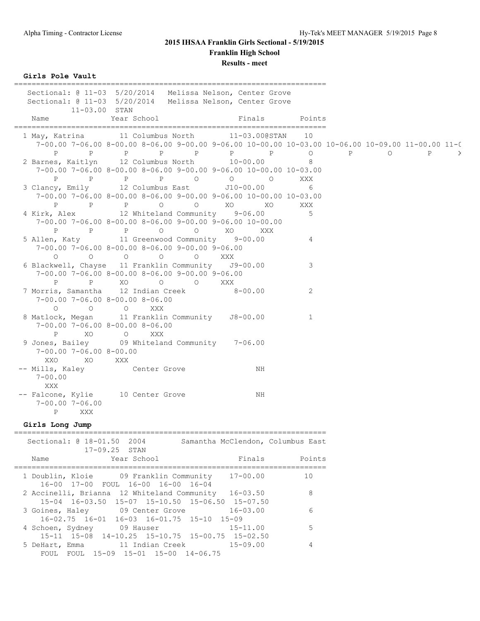## **2015 IHSAA Franklin Girls Sectional - 5/19/2015 Franklin High School**

# **Results - meet**

**Girls Pole Vault**

| $11 - 03.00$ STAN                                                                                                                                                                                                              | Sectional: @ 11-03 5/20/2014 Melissa Nelson, Center Grove<br>Sectional: @ 11-03 5/20/2014 Melissa Nelson, Center Grove                              |                |                |     |              |               |
|--------------------------------------------------------------------------------------------------------------------------------------------------------------------------------------------------------------------------------|-----------------------------------------------------------------------------------------------------------------------------------------------------|----------------|----------------|-----|--------------|---------------|
| Name                                                                                                                                                                                                                           | Year School                                                                                                                                         | Finals         | Points         |     |              |               |
|                                                                                                                                                                                                                                | 1 May, Katrina 11 Columbus North 11-03.000STAN<br>7-00.00 7-06.00 8-00.00 8-06.00 9-00.00 9-06.00 10-00.00 10-03.00 10-06.00 10-09.00 11-00.00 11-0 |                | 10             |     |              |               |
| P                                                                                                                                                                                                                              | P P P P P P P                                                                                                                                       |                | $\circ$        | P 0 | $\mathbf{P}$ | $\rightarrow$ |
|                                                                                                                                                                                                                                | 2 Barnes, Kaitlyn 12 Columbus North 10-00.00                                                                                                        |                | 8              |     |              |               |
|                                                                                                                                                                                                                                | $7-00.00$ $7-06.00$ $8-00.00$ $8-06.00$ $9-00.00$ $9-06.00$ $10-00.00$ $10-03.00$                                                                   | $\overline{O}$ |                |     |              |               |
| $\mathbf{P}$                                                                                                                                                                                                                   | P P P O<br>3 Clancy, Emily 12 Columbus East J10-00.00                                                                                               | $\circ$        | XXX<br>6       |     |              |               |
|                                                                                                                                                                                                                                | $7-00.00$ $7-06.00$ $8-00.00$ $8-06.00$ $9-00.00$ $9-06.00$ $10-00.00$ $10-03.00$                                                                   |                |                |     |              |               |
| $\mathbf{P}$                                                                                                                                                                                                                   | P P O<br>$\circ$                                                                                                                                    | XO<br>XO       | XXX            |     |              |               |
|                                                                                                                                                                                                                                | 4 Kirk, Alex 12 Whiteland Community 9-06.00                                                                                                         |                | 5              |     |              |               |
|                                                                                                                                                                                                                                | $7-00.00$ $7-06.00$ $8-00.00$ $8-06.00$ $9-00.00$ $9-06.00$ $10-00.00$                                                                              |                |                |     |              |               |
| P                                                                                                                                                                                                                              | <b>P</b> P O<br>$O$ XO                                                                                                                              | XXX            |                |     |              |               |
|                                                                                                                                                                                                                                | 5 Allen, Katy 11 Greenwood Community 9-00.00                                                                                                        |                | 4              |     |              |               |
|                                                                                                                                                                                                                                | 7-00.00 7-06.00 8-00.00 8-06.00 9-00.00 9-06.00                                                                                                     |                |                |     |              |               |
| $\circ$                                                                                                                                                                                                                        | $\begin{matrix} 0 & 0 & 0 \end{matrix}$<br>O XXX                                                                                                    |                |                |     |              |               |
|                                                                                                                                                                                                                                | 6 Blackwell, Chayse 11 Franklin Community J9-00.00                                                                                                  |                | 3              |     |              |               |
|                                                                                                                                                                                                                                | $7-00.00$ $7-06.00$ $8-00.00$ $8-06.00$ $9-00.00$ $9-06.00$<br>P P XO O O                                                                           | XXX            |                |     |              |               |
|                                                                                                                                                                                                                                | 7 Morris, Samantha 12 Indian Creek                                                                                                                  | $8 - 00.00$    | $\overline{2}$ |     |              |               |
| $7-00.00$ $7-06.00$ $8-00.00$ $8-06.00$                                                                                                                                                                                        |                                                                                                                                                     |                |                |     |              |               |
| $\circ$                                                                                                                                                                                                                        | $\circ$ $\circ$<br>XXX                                                                                                                              |                |                |     |              |               |
|                                                                                                                                                                                                                                | 8 Matlock, Megan 11 Franklin Community J8-00.00                                                                                                     |                | 1              |     |              |               |
| 7-00.00 7-06.00 8-00.00 8-06.00                                                                                                                                                                                                |                                                                                                                                                     |                |                |     |              |               |
| P XO O                                                                                                                                                                                                                         | XXX                                                                                                                                                 |                |                |     |              |               |
|                                                                                                                                                                                                                                | 9 Jones, Bailey 09 Whiteland Community 7-06.00                                                                                                      |                |                |     |              |               |
| $7-00.00$ $7-06.00$ $8-00.00$                                                                                                                                                                                                  |                                                                                                                                                     |                |                |     |              |               |
| XXO<br>XO XXX                                                                                                                                                                                                                  |                                                                                                                                                     |                |                |     |              |               |
| -- Mills, Kaley<br>$7 - 00.00$                                                                                                                                                                                                 | Center Grove                                                                                                                                        | NH             |                |     |              |               |
| XXX                                                                                                                                                                                                                            |                                                                                                                                                     |                |                |     |              |               |
|                                                                                                                                                                                                                                | -- Falcone, Kylie 10 Center Grove                                                                                                                   | NH             |                |     |              |               |
| $7 - 00.00$ $7 - 06.00$                                                                                                                                                                                                        |                                                                                                                                                     |                |                |     |              |               |
| XXX<br>P                                                                                                                                                                                                                       |                                                                                                                                                     |                |                |     |              |               |
| Girls Long Jump                                                                                                                                                                                                                |                                                                                                                                                     |                |                |     |              |               |
|                                                                                                                                                                                                                                |                                                                                                                                                     |                |                |     |              |               |
|                                                                                                                                                                                                                                | Sectional: @ 18-01.50 2004 Samantha McClendon, Columbus East                                                                                        |                |                |     |              |               |
| Name and the second state of the second state of the second state of the second state of the second state of the second state of the second state of the second state of the second state of the second state of the second st | $17 - 09.25$ STAN<br>Year School                                                                                                                    | Finals         | Points         |     |              |               |
|                                                                                                                                                                                                                                |                                                                                                                                                     |                |                |     |              |               |

| Name             | Year School                                                                                             | Finals       | Points |
|------------------|---------------------------------------------------------------------------------------------------------|--------------|--------|
|                  | 1 Doublin, Kloie 69 Franklin Community 17-00.00<br>16-00 17-00 FOUL 16-00 16-00 16-04                   |              | 10     |
|                  | 2 Accinelli, Brianna 12 Whiteland Community 16-03.50<br>15-04 16-03.50 15-07 15-10.50 15-06.50 15-07.50 |              | 8      |
|                  | 3 Goines, Haley 09 Center Grove<br>16-02.75 16-01 16-03 16-01.75 15-10 15-09                            | $16 - 03.00$ | 6      |
| 4 Schoen, Sydney | 09 Hauser<br>15-11 15-08 14-10.25 15-10.75 15-00.75 15-02.50                                            | $15 - 11.00$ | 5      |
| FOUL.            | 5 DeHart, Emma 11 Indian Creek 15-09.00<br>FOUL 15-09 15-01 15-00 14-06.75                              |              |        |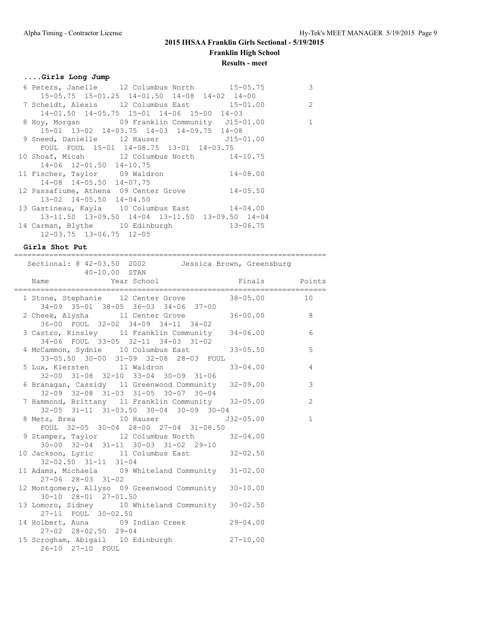## **....Girls Long Jump**

| 6 Peters, Janelle 12 Columbus North 15-05.75             | 3              |
|----------------------------------------------------------|----------------|
| $15-05.75$ $15-01.25$ $14-01.50$ $14-08$ $14-02$ $14-00$ |                |
| 7 Scheidt, Alexis 12 Columbus East 15-01.00              | $\overline{2}$ |
| $14-01.50$ $14-05.75$ $15-01$ $14-06$ $15-00$ $14-03$    |                |
| 8 Hoy, Morgan 69 Franklin Community J15-01.00            | 1              |
| 15-01 13-02 14-03.75 14-03 14-09.75 14-08                |                |
| 9 Sneed, Danielle 12 Hauser 515-01.00                    |                |
| FOUL FOUL 15-01 14-08.75 13-01 14-03.75                  |                |
| 10 Shoaf, Micah 12 Columbus North 14-10.75               |                |
| 14-06 12-01.50 14-10.75                                  |                |
| 11 Fischer, Taylor 09 Waldron 14-08.00                   |                |
| 14-08 14-05.50 14-07.75                                  |                |
| 12 Passafiume, Athena 09 Center Grove 14-05.50           |                |
| $13-02$ $14-05.50$ $14-04.50$                            |                |
| 13 Gastineau, Kayla 10 Columbus East 14-04.00            |                |
| 13-11.50 13-09.50 14-04 13-11.50 13-09.50 14-04          |                |
| 14 Carman, Blythe 10 Edinburgh 13-06.75                  |                |
| $12 - 03.75$ $13 - 06.75$ $12 - 05$                      |                |

### **Girls Shot Put**

| -------------------                                                                          |               |                |
|----------------------------------------------------------------------------------------------|---------------|----------------|
| Sectional: @ 42-03.50 2002   Jessica Brown, Greensburg                                       |               |                |
| 40-10.00 STAN<br>Name Year School Mame Finals Points                                         |               |                |
| 1 Stone, Stephanie 12 Center Grove 38-05.00<br>34-09 35-01 38-05 36-03 34-06 37-00           |               | 10             |
| 2 Cheek, Alysha 11 Center Grove 36-00.00 8<br>$36-00$ FOUL $32-02$ $34-09$ $34-11$ $34-02$   |               |                |
| 3 Castro, Kinsley 11 Franklin Community 34-06.00<br>34-06 FOUL 33-05 32-11 34-03 31-02       |               | 6              |
| 4 McCammon, Sydnie 10 Columbus East 33-05.50<br>33-05.50 30-00 31-09 32-08 28-03 FOUL        |               | $\mathbf 5$    |
| 5 Lux, Kiersten 11 Waldron<br>$32-00$ $31-08$ $32-10$ $33-04$ $30-09$ $31-06$                | $33 - 04.00$  | $\overline{4}$ |
| 6 Branagan, Cassidy 11 Greenwood Community 32-09.00<br>32-09 32-08 31-03 31-05 30-07 30-04   |               | 3              |
| 7 Hammond, Brittany 11 Franklin Community 32-05.00<br>32-05 31-11 31-03.50 30-04 30-09 30-04 |               | $\overline{2}$ |
| 8 Metz, Brea 10 Hauser<br>FOUL 32-05 30-04 28-00 27-04 31-08.50                              | $J32 - 05.00$ | $\mathbf{1}$   |
| 9 Stamper, Taylor 12 Columbus North 32-04.00<br>30-00 32-04 31-11 30-03 31-02 29-10          |               |                |
| 10 Jackson, Lyric 11 Columbus East 32-02.50<br>$32 - 02.50$ $31 - 11$ $31 - 04$              |               |                |
| 11 Adams, Michaela 09 Whiteland Community 31-02.00<br>$27 - 06$ $28 - 03$ $31 - 02$          |               |                |
| 12 Montgomery, Allyso 09 Greenwood Community 30-10.00<br>30-10 28-01 27-01.50                |               |                |
| 13 Lomoro, Sidney 10 Whiteland Community 30-02.50<br>27-11 FOUL 30-02.50                     |               |                |
| 14 Holbert, Auna 09 Indian Creek 29-04.00<br>$27 - 02$ $28 - 02.50$ $29 - 04$                |               |                |
| 15 Scrogham, Abigail 10 Edinburgh 27-10.00<br>26-10 27-10 FOUL                               |               |                |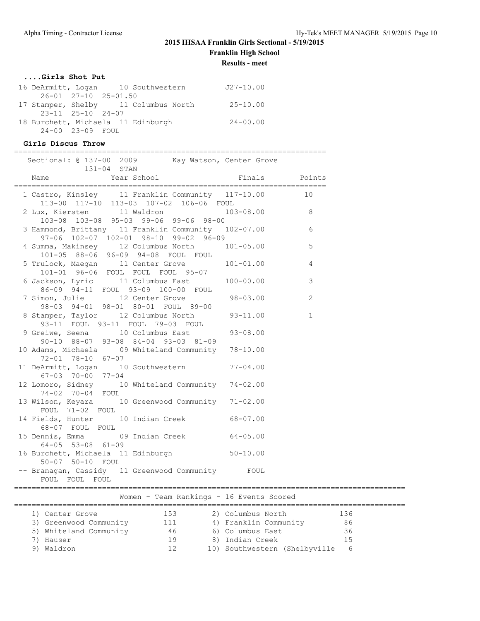# **2015 IHSAA Franklin Girls Sectional - 5/19/2015**

**Franklin High School**

**Results - meet**

## **....Girls Shot Put**

|                                    | 16 DeArmitt, Logan 10 Southwestern   | $J27 - 10.00$ |
|------------------------------------|--------------------------------------|---------------|
| $26 - 01$ $27 - 10$ $25 - 01.50$   |                                      |               |
|                                    | 17 Stamper, Shelby 11 Columbus North | $25 - 10.00$  |
| $23 - 11$ $25 - 10$ $24 - 07$      |                                      |               |
| 18 Burchett, Michaela 11 Edinburgh |                                      | $24 - 00.00$  |
| 24-00 23-09 FOUL                   |                                      |               |

### **Girls Discus Throw**

#### =======================================================================

| Sectional: @ 137-00 2009 Kay Watson, Center Grove                                                                                                                                                 |                                                                                                                                                                |
|---------------------------------------------------------------------------------------------------------------------------------------------------------------------------------------------------|----------------------------------------------------------------------------------------------------------------------------------------------------------------|
| 131-04 STAN<br>Year School<br>Name                                                                                                                                                                | Finals<br>Points                                                                                                                                               |
| 1 Castro, Kinsley 11 Franklin Community 117-10.00<br>113-00 117-10 113-03 107-02 106-06 FOUL                                                                                                      | 10                                                                                                                                                             |
| 2 Lux, Kiersten 11 Waldron<br>103-08 103-08 95-03 99-06 99-06 98-00                                                                                                                               | $103 - 08.00$<br>$\overline{\phantom{a}}$ 8                                                                                                                    |
| 3 Hammond, Brittany 11 Franklin Community 102-07.00<br>97-06 102-07 102-01 98-10 99-02 96-09                                                                                                      | 6                                                                                                                                                              |
| 4 Summa, Makinsey 12 Columbus North 101-05.00<br>101-05 88-06 96-09 94-08 FOUL FOUL                                                                                                               | 5                                                                                                                                                              |
| 5 Trulock, Maegan 11 Center Grove<br>101-01 96-06 FOUL FOUL FOUL 95-07                                                                                                                            | $101 - 01.00$<br>4                                                                                                                                             |
| 6 Jackson, Lyric 11 Columbus East 100-00.00<br>86-09 94-11 FOUL 93-09 100-00 FOUL                                                                                                                 | 3                                                                                                                                                              |
| 7 Simon, Julie 12 Center Grove 98-03.00<br>98-03 94-01 98-01 80-01 FOUL 89-00                                                                                                                     | 2                                                                                                                                                              |
| 8 Stamper, Taylor 12 Columbus North<br>93-11 FOUL 93-11 FOUL 79-03 FOUL                                                                                                                           | $93 - 11.00$<br>$\mathbf{1}$                                                                                                                                   |
| 9 Greiwe, Seena 10 Columbus East<br>90-10 88-07 93-08 84-04 93-03 81-09                                                                                                                           | $93 - 08.00$                                                                                                                                                   |
| 10 Adams, Michaela 09 Whiteland Community 78-10.00<br>72-01 78-10 67-07                                                                                                                           |                                                                                                                                                                |
| 11 DeArmitt, Logan 10 Southwestern 77-04.00<br>67-03 70-00 77-04                                                                                                                                  |                                                                                                                                                                |
| 12 Lomoro, Sidney 10 Whiteland Community 74-02.00<br>74-02 70-04 FOUL                                                                                                                             |                                                                                                                                                                |
| 13 Wilson, Keyara 10 Greenwood Community 71-02.00<br>FOUL 71-02 FOUL                                                                                                                              |                                                                                                                                                                |
| 14 Fields, Hunter 10 Indian Creek 68-07.00<br>68-07 FOUL FOUL                                                                                                                                     |                                                                                                                                                                |
| 15 Dennis, Emma 69 Indian Creek 64-05.00<br>$64 - 05$ 53-08 61-09                                                                                                                                 |                                                                                                                                                                |
| 16 Burchett, Michaela 11 Edinburgh 50-10.00<br>50-07 50-10 FOUL                                                                                                                                   |                                                                                                                                                                |
| -- Branagan, Cassidy 11 Greenwood Community FOUL<br>FOUL FOUL FOUL                                                                                                                                |                                                                                                                                                                |
| Women - Team Rankings - 16 Events Scored                                                                                                                                                          |                                                                                                                                                                |
| 1) Center Grove 153 2) Columbus North<br>3) Greenwood Community 111 4) Franklin Communi<br>5) Whiteland Community<br>7) Hauser 19 (8) Indian Creek<br>2) Hauser 19 (8) Indian Creek<br>9) Waldron | 136<br>2) Columbus North                      136<br>4) Franklin Community             86<br>36<br>15<br>8) Indian Creek<br>12 10) Southwestern (Shelbyville 6 |